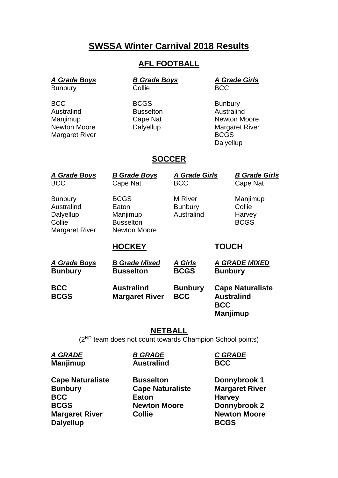## **SWSSA Winter Carnival 2018 Results**

### **AFL FOOTBALL**

# *A Grade Boys B Grade Boys A Grade Girls*

Australind **Busselton** 

Bunbury Collie BCC

BCC BOGS BOGS Bunbury<br>
Australind Busselton Australind Manjimup Cape Nat Newton Moore Newton Moore **Dalyellup** Margaret River Margaret River **BCGS Dalyellup** 

### **SOCCER**

| <b>A Grade Boys</b><br><b>BCC</b>                                     | <b>B Grade Boys</b><br>Cape Nat                                             | <b>A Grade Girls</b><br><b>BCC</b>      | <b>B Grade Girls</b><br>Cape Nat                                       |
|-----------------------------------------------------------------------|-----------------------------------------------------------------------------|-----------------------------------------|------------------------------------------------------------------------|
| <b>Bunbury</b><br>Australind<br>Dalyellup<br>Collie<br>Margaret River | <b>BCGS</b><br>Eaton<br>Manjimup<br><b>Busselton</b><br><b>Newton Moore</b> | M River<br><b>Bunbury</b><br>Australind | Manjimup<br>Collie<br>Harvey<br><b>BCGS</b>                            |
|                                                                       | <b>HOCKEY</b>                                                               |                                         | <b>TOUCH</b>                                                           |
| <u>A Grade Boys</u><br><b>Bunbury</b>                                 | <b>B Grade Mixed</b><br><b>Busselton</b>                                    | <b>A Girls</b><br><b>BCGS</b>           | <b>A GRADE MIXED</b><br><b>Bunbury</b>                                 |
| <b>BCC</b><br><b>BCGS</b>                                             | <b>Australind</b><br><b>Margaret River</b>                                  | <b>Bunbury</b><br><b>BCC</b>            | <b>Cape Naturaliste</b><br><b>Australind</b><br><b>BCC</b><br>Manjimup |

#### **NETBALL**

(2ND team does not count towards Champion School points)

*A GRADE B GRADE C GRADE* **Manjimup Australind BCC Cape Naturaliste <b>Busselton Donnybrook 1 Bunbury Cape Naturaliste Margaret River BCC Eaton Harvey BCGS Newton Moore Donnybrook 2 Margaret River Collie Newton Moore** 

**Dalyellup BCGS**